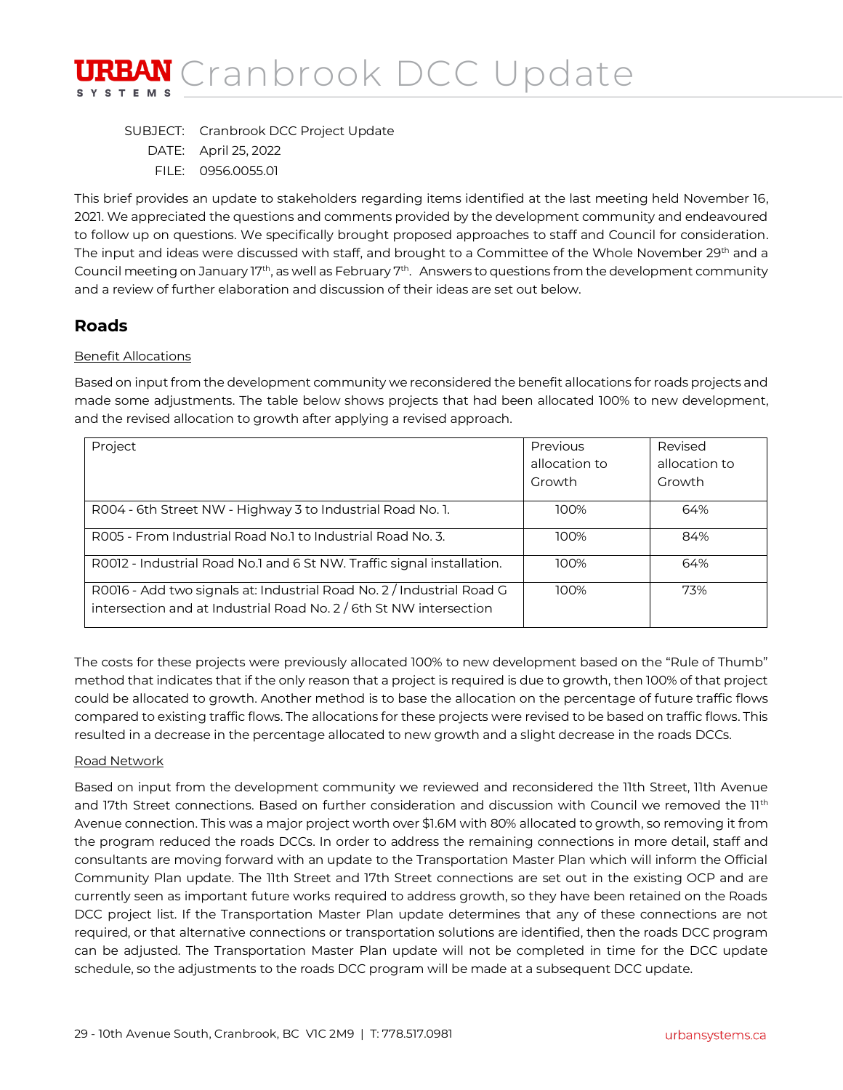

SUBJECT: Cranbrook DCC Project Update DATE: April 25, 2022 FILE: 0956.0055.01

This brief provides an update to stakeholders regarding items identified at the last meeting held November 16, 2021. We appreciated the questions and comments provided by the development community and endeavoured to follow up on questions. We specifically brought proposed approaches to staff and Council for consideration. The input and ideas were discussed with staff, and brought to a Committee of the Whole November 29<sup>th</sup> and a Council meeting on January 17th, as well as February 7th. Answers to questions from the development community and a review of further elaboration and discussion of their ideas are set out below.

### **Roads**

#### Benefit Allocations

Based on input from the development community we reconsidered the benefit allocations for roads projects and made some adjustments. The table below shows projects that had been allocated 100% to new development, and the revised allocation to growth after applying a revised approach.

| Project                                                                                                                                     | Previous      | Revised       |
|---------------------------------------------------------------------------------------------------------------------------------------------|---------------|---------------|
|                                                                                                                                             | allocation to | allocation to |
|                                                                                                                                             | Growth        | Growth        |
| R004 - 6th Street NW - Highway 3 to Industrial Road No. 1.                                                                                  | 100%          | 64%           |
| ROO5 - From Industrial Road No.1 to Industrial Road No. 3.                                                                                  | 100%          | 84%           |
| RO012 - Industrial Road No.1 and 6 St NW. Traffic signal installation.                                                                      | 100%          | 64%           |
| R0016 - Add two signals at: Industrial Road No. 2 / Industrial Road G<br>intersection and at Industrial Road No. 2 / 6th St NW intersection | 100%          | 73%           |

The costs for these projects were previously allocated 100% to new development based on the "Rule of Thumb" method that indicates that if the only reason that a project is required is due to growth, then 100% of that project could be allocated to growth. Another method is to base the allocation on the percentage of future traffic flows compared to existing traffic flows. The allocations for these projects were revised to be based on traffic flows. This resulted in a decrease in the percentage allocated to new growth and a slight decrease in the roads DCCs.

#### Road Network

Based on input from the development community we reviewed and reconsidered the 11th Street, 11th Avenue and 17th Street connections. Based on further consideration and discussion with Council we removed the 11<sup>th</sup> Avenue connection. This was a major project worth over \$1.6M with 80% allocated to growth, so removing it from the program reduced the roads DCCs. In order to address the remaining connections in more detail, staff and consultants are moving forward with an update to the Transportation Master Plan which will inform the Official Community Plan update. The 11th Street and 17th Street connections are set out in the existing OCP and are currently seen as important future works required to address growth, so they have been retained on the Roads DCC project list. If the Transportation Master Plan update determines that any of these connections are not required, or that alternative connections or transportation solutions are identified, then the roads DCC program can be adjusted. The Transportation Master Plan update will not be completed in time for the DCC update schedule, so the adjustments to the roads DCC program will be made at a subsequent DCC update.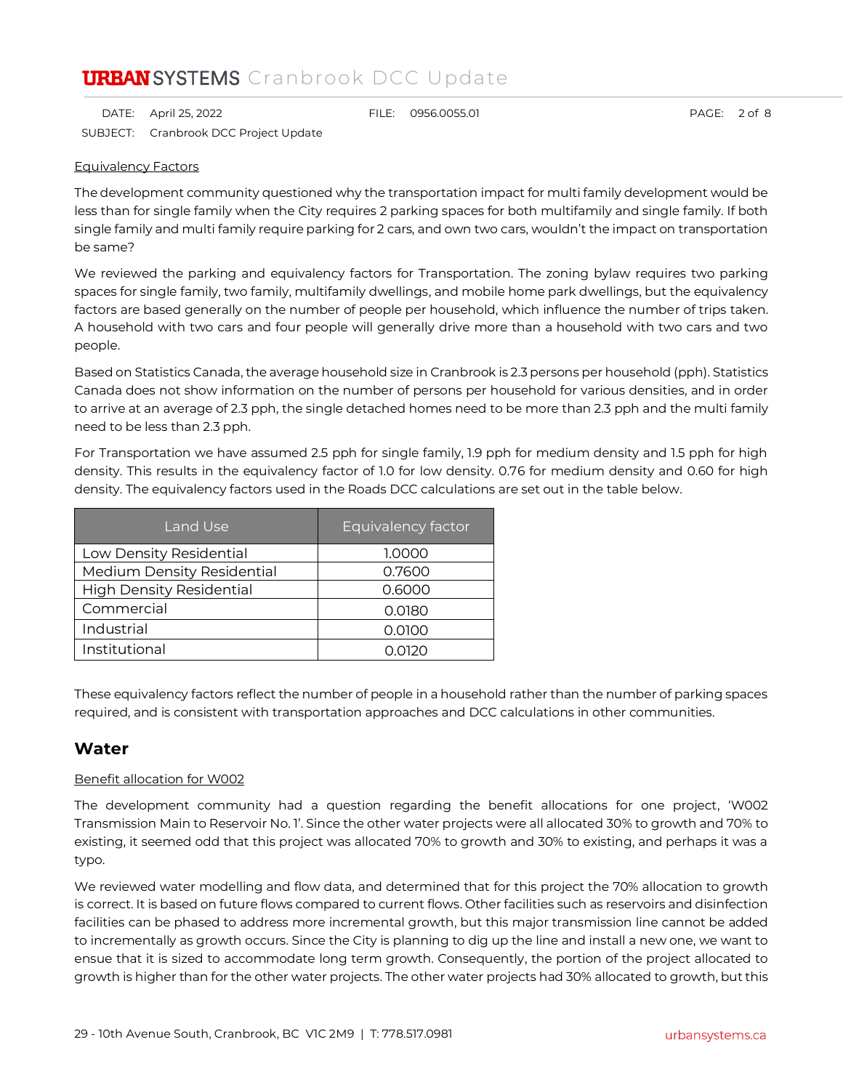DATE: April 25, 2022 FILE: 0956.0055.01 PAGE: 2 of 8 SUBJECT: Cranbrook DCC Project Update

#### Equivalency Factors

The development community questioned why the transportation impact for multi family development would be less than for single family when the City requires 2 parking spaces for both multifamily and single family. If both single family and multi family require parking for 2 cars, and own two cars, wouldn't the impact on transportation be same?

We reviewed the parking and equivalency factors for Transportation. The zoning bylaw requires two parking spaces for single family, two family, multifamily dwellings, and mobile home park dwellings, but the equivalency factors are based generally on the number of people per household, which influence the number of trips taken. A household with two cars and four people will generally drive more than a household with two cars and two people.

Based on Statistics Canada, the average household size in Cranbrook is 2.3 persons per household (pph). Statistics Canada does not show information on the number of persons per household for various densities, and in order to arrive at an average of 2.3 pph, the single detached homes need to be more than 2.3 pph and the multi family need to be less than 2.3 pph.

For Transportation we have assumed 2.5 pph for single family, 1.9 pph for medium density and 1.5 pph for high density. This results in the equivalency factor of 1.0 for low density. 0.76 for medium density and 0.60 for high density. The equivalency factors used in the Roads DCC calculations are set out in the table below.

| Land Use                          | Equivalency factor |
|-----------------------------------|--------------------|
| Low Density Residential           | 1.0000             |
| <b>Medium Density Residential</b> | 0.7600             |
| <b>High Density Residential</b>   | 0.6000             |
| Commercial                        | 0.0180             |
| Industrial                        | 0.0100             |
| Institutional                     | O 0120             |

These equivalency factors reflect the number of people in a household rather than the number of parking spaces required, and is consistent with transportation approaches and DCC calculations in other communities.

### **Water**

#### Benefit allocation for W002

The development community had a question regarding the benefit allocations for one project, 'W002 Transmission Main to Reservoir No. 1'. Since the other water projects were all allocated 30% to growth and 70% to existing, it seemed odd that this project was allocated 70% to growth and 30% to existing, and perhaps it was a typo.

We reviewed water modelling and flow data, and determined that for this project the 70% allocation to growth is correct. It is based on future flows compared to current flows. Other facilities such as reservoirs and disinfection facilities can be phased to address more incremental growth, but this major transmission line cannot be added to incrementally as growth occurs. Since the City is planning to dig up the line and install a new one, we want to ensue that it is sized to accommodate long term growth. Consequently, the portion of the project allocated to growth is higher than for the other water projects. The other water projects had 30% allocated to growth, but this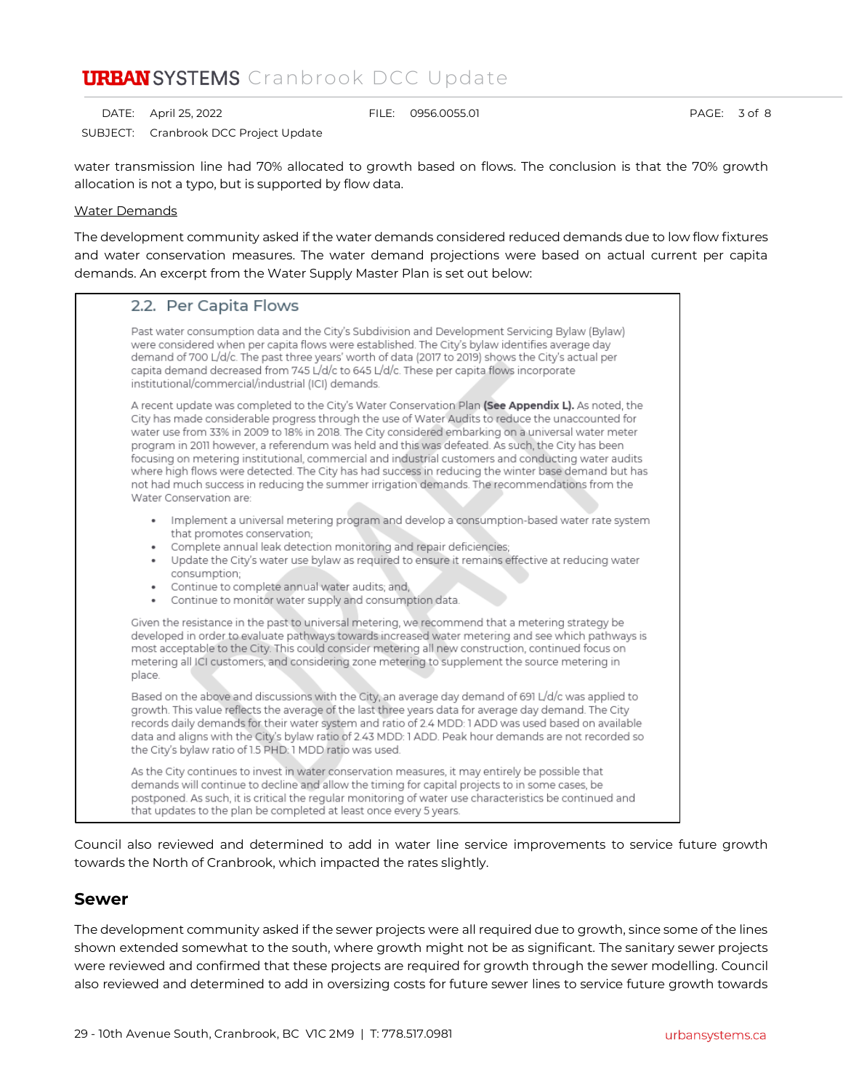DATE: April 25, 2022 FILE: 0956.0055.01 PAGE: 3 of 8

SUBJECT: Cranbrook DCC Project Update

water transmission line had 70% allocated to growth based on flows. The conclusion is that the 70% growth allocation is not a typo, but is supported by flow data.

#### Water Demands

The development community asked if the water demands considered reduced demands due to low flow fixtures and water conservation measures. The water demand projections were based on actual current per capita demands. An excerpt from the Water Supply Master Plan is set out below:

# 2.2. Per Capita Flows

Past water consumption data and the City's Subdivision and Development Servicing Bylaw (Bylaw) were considered when per capita flows were established. The City's bylaw identifies average day demand of 700 L/d/c. The past three years' worth of data (2017 to 2019) shows the City's actual per capita demand decreased from 745 L/d/c to 645 L/d/c. These per capita flows incorporate institutional/commercial/industrial (ICI) demands.

A recent update was completed to the City's Water Conservation Plan (See Appendix L). As noted, the City has made considerable progress through the use of Water Audits to reduce the unaccounted for water use from 33% in 2009 to 18% in 2018. The City considered embarking on a universal water meter program in 2011 however, a referendum was held and this was defeated. As such, the City has been focusing on metering institutional, commercial and industrial customers and conducting water audits where high flows were detected. The City has had success in reducing the winter base demand but has not had much success in reducing the summer irrigation demands. The recommendations from the Water Conservation are:

- · Implement a universal metering program and develop a consumption-based water rate system that promotes conservation;
- Complete annual leak detection monitoring and repair deficiencies;
- . Update the City's water use bylaw as required to ensure it remains effective at reducing water consumption;
- Continue to complete annual water audits; and,
- . Continue to monitor water supply and consumption data.

Given the resistance in the past to universal metering, we recommend that a metering strategy be developed in order to evaluate pathways towards increased water metering and see which pathways is most acceptable to the City. This could consider metering all new construction, continued focus on metering all ICI customers, and considering zone metering to supplement the source metering in place.

Based on the above and discussions with the City, an average day demand of 691 L/d/c was applied to growth. This value reflects the average of the last three years data for average day demand. The City records daily demands for their water system and ratio of 2.4 MDD: 1 ADD was used based on available data and aligns with the City's bylaw ratio of 2.43 MDD: 1 ADD. Peak hour demands are not recorded so the City's bylaw ratio of 1.5 PHD: 1 MDD ratio was used.

As the City continues to invest in water conservation measures, it may entirely be possible that demands will continue to decline and allow the timing for capital projects to in some cases, be postponed. As such, it is critical the regular monitoring of water use characteristics be continued and that updates to the plan be completed at least once every 5 years.

Council also reviewed and determined to add in water line service improvements to service future growth towards the North of Cranbrook, which impacted the rates slightly.

### **Sewer**

The development community asked if the sewer projects were all required due to growth, since some of the lines shown extended somewhat to the south, where growth might not be as significant. The sanitary sewer projects were reviewed and confirmed that these projects are required for growth through the sewer modelling. Council also reviewed and determined to add in oversizing costs for future sewer lines to service future growth towards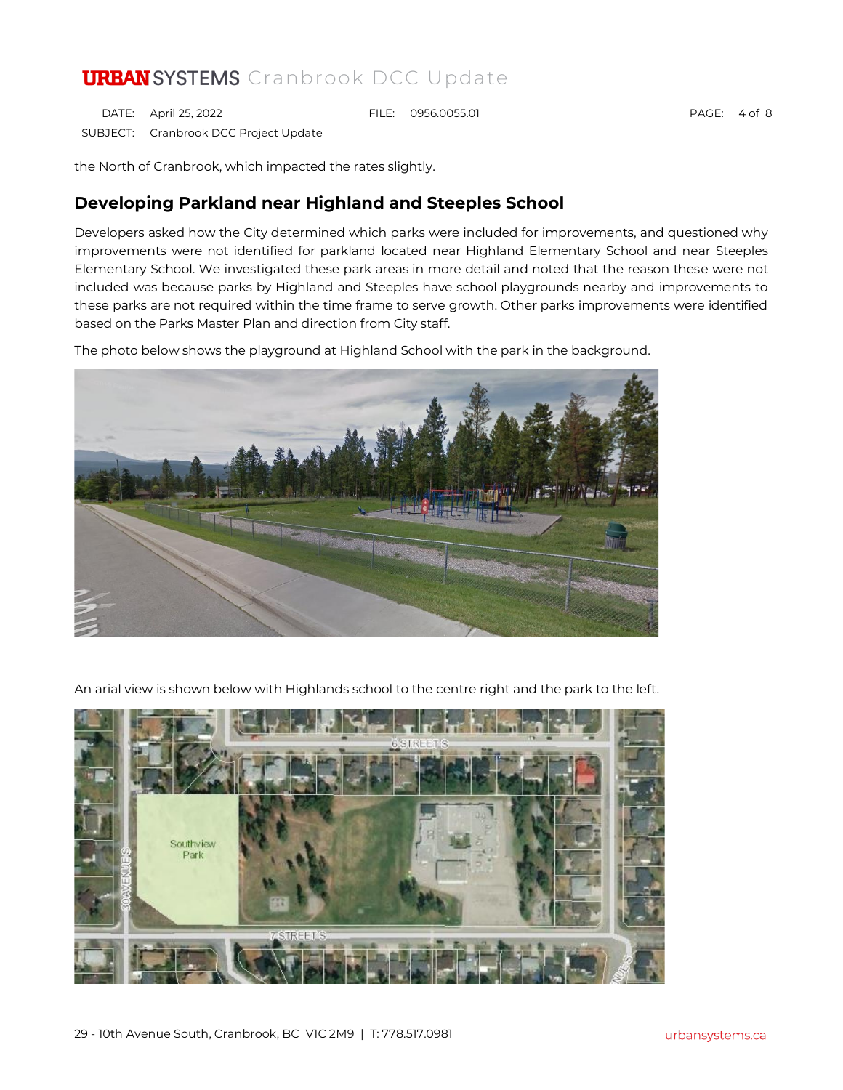DATE: April 25, 2022 FILE: 0956.0055.01 PAGE: 4 of 8 SUBJECT: Cranbrook DCC Project Update

the North of Cranbrook, which impacted the rates slightly.

### **Developing Parkland near Highland and Steeples School**

Developers asked how the City determined which parks were included for improvements, and questioned why improvements were not identified for parkland located near Highland Elementary School and near Steeples Elementary School. We investigated these park areas in more detail and noted that the reason these were not included was because parks by Highland and Steeples have school playgrounds nearby and improvements to these parks are not required within the time frame to serve growth. Other parks improvements were identified based on the Parks Master Plan and direction from City staff.

The photo below shows the playground at Highland School with the park in the background.



An arial view is shown below with Highlands school to the centre right and the park to the left.

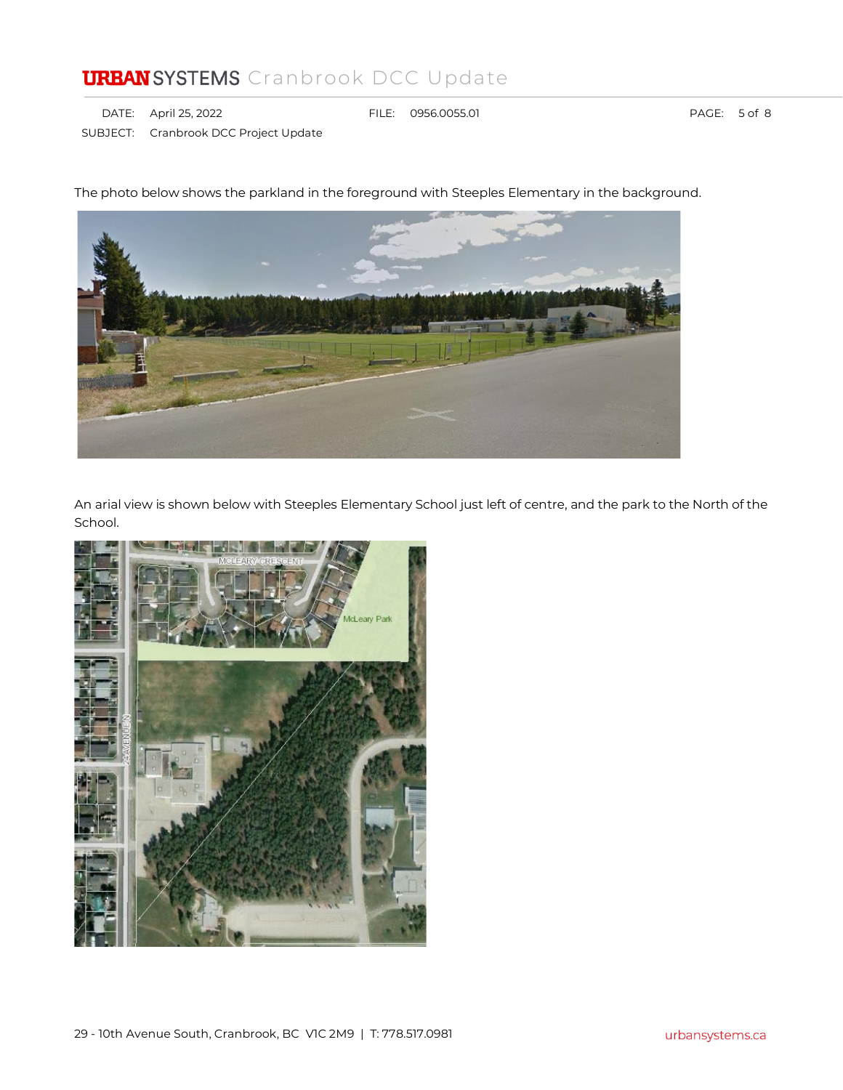DATE: April 25, 2022 FILE: 0956.0055.01 PAGE: 5 of 8 SUBJECT: Cranbrook DCC Project Update

An arial view is shown below with Steeples Elementary School just left of centre, and the park to the North of the School.



The photo below shows the parkland in the foreground with Steeples Elementary in the background.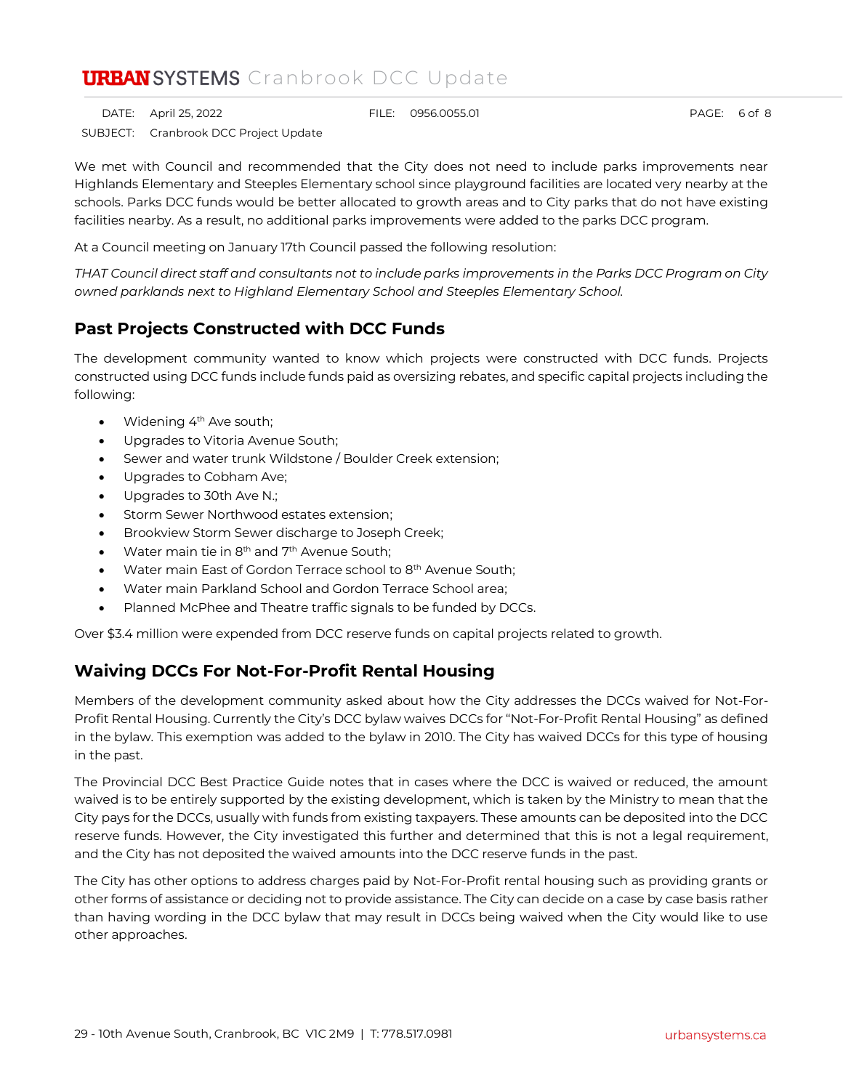DATE: April 25, 2022 FILE: 0956.0055.01 PAGE: 6 of 8 SUBJECT: Cranbrook DCC Project Update

We met with Council and recommended that the City does not need to include parks improvements near Highlands Elementary and Steeples Elementary school since playground facilities are located very nearby at the schools. Parks DCC funds would be better allocated to growth areas and to City parks that do not have existing facilities nearby. As a result, no additional parks improvements were added to the parks DCC program.

At a Council meeting on January 17th Council passed the following resolution:

*THAT Council direct staff and consultants not to include parks improvements in the Parks DCC Program on City owned parklands next to Highland Elementary School and Steeples Elementary School.*

### **Past Projects Constructed with DCC Funds**

The development community wanted to know which projects were constructed with DCC funds. Projects constructed using DCC funds include funds paid as oversizing rebates, and specific capital projects including the following:

- Widening 4<sup>th</sup> Ave south;
- Upgrades to Vitoria Avenue South;
- Sewer and water trunk Wildstone / Boulder Creek extension;
- Upgrades to Cobham Ave;
- Upgrades to 30th Ave N.;
- Storm Sewer Northwood estates extension;
- Brookview Storm Sewer discharge to Joseph Creek;
- Water main tie in 8<sup>th</sup> and 7<sup>th</sup> Avenue South;
- Water main East of Gordon Terrace school to 8<sup>th</sup> Avenue South;
- Water main Parkland School and Gordon Terrace School area;
- Planned McPhee and Theatre traffic signals to be funded by DCCs.

Over \$3.4 million were expended from DCC reserve funds on capital projects related to growth.

### **Waiving DCCs For Not-For-Profit Rental Housing**

Members of the development community asked about how the City addresses the DCCs waived for Not-For-Profit Rental Housing. Currently the City's DCC bylaw waives DCCs for "Not-For-Profit Rental Housing" as defined in the bylaw. This exemption was added to the bylaw in 2010. The City has waived DCCs for this type of housing in the past.

The Provincial DCC Best Practice Guide notes that in cases where the DCC is waived or reduced, the amount waived is to be entirely supported by the existing development, which is taken by the Ministry to mean that the City pays for the DCCs, usually with funds from existing taxpayers. These amounts can be deposited into the DCC reserve funds. However, the City investigated this further and determined that this is not a legal requirement, and the City has not deposited the waived amounts into the DCC reserve funds in the past.

The City has other options to address charges paid by Not-For-Profit rental housing such as providing grants or other forms of assistance or deciding not to provide assistance. The City can decide on a case by case basis rather than having wording in the DCC bylaw that may result in DCCs being waived when the City would like to use other approaches.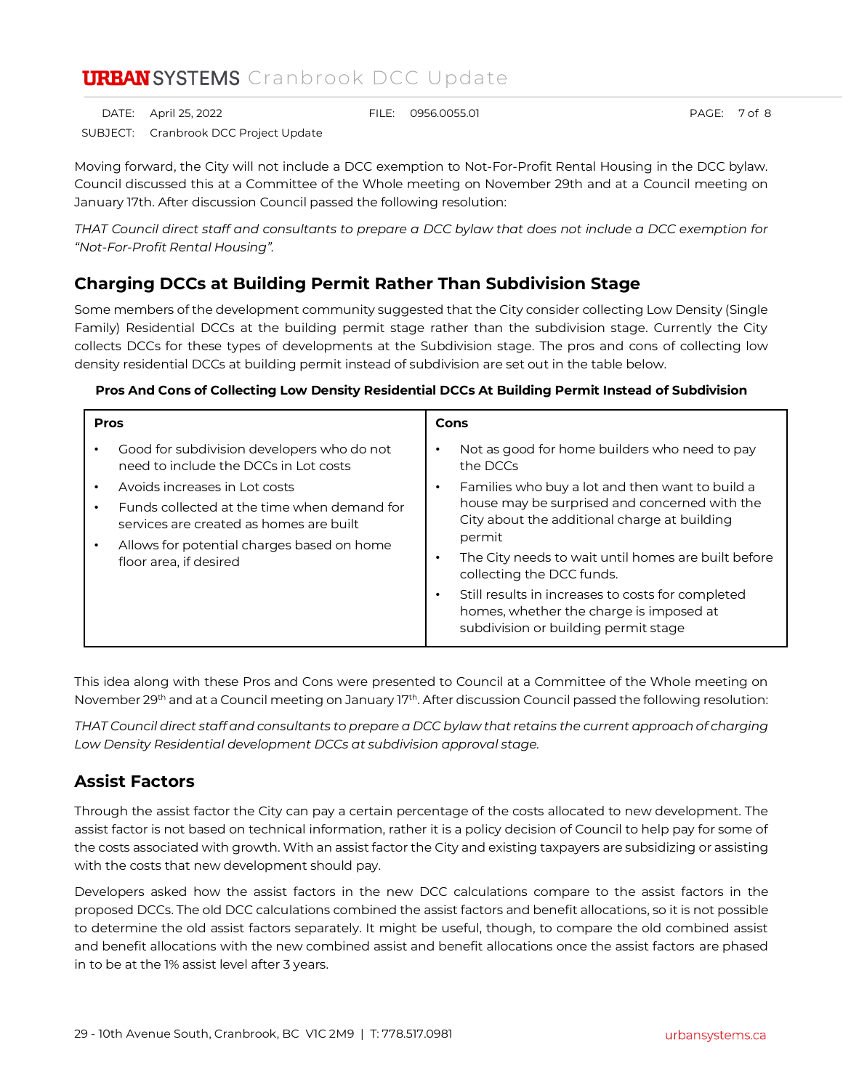DATE: April 25, 2022 FILE: 0956.0055.01 PAGE: 7 of 8

SUBJECT: Cranbrook DCC Project Update

Moving forward, the City will not include a DCC exemption to Not-For-Profit Rental Housing in the DCC bylaw. Council discussed this at a Committee of the Whole meeting on November 29th and at a Council meeting on January 17th. After discussion Council passed the following resolution:

*THAT Council direct staff and consultants to prepare a DCC bylaw that does not include a DCC exemption for "Not-For-Profit Rental Housing".*

## **Charging DCCs at Building Permit Rather Than Subdivision Stage**

Some members of the development community suggested that the City consider collecting Low Density (Single Family) Residential DCCs at the building permit stage rather than the subdivision stage. Currently the City collects DCCs for these types of developments at the Subdivision stage. The pros and cons of collecting low density residential DCCs at building permit instead of subdivision are set out in the table below.

#### **Pros And Cons of Collecting Low Density Residential DCCs At Building Permit Instead of Subdivision**

| <b>Pros</b>                                                                                                     | Cons                                                                                                                                             |
|-----------------------------------------------------------------------------------------------------------------|--------------------------------------------------------------------------------------------------------------------------------------------------|
| Good for subdivision developers who do not<br>need to include the DCCs in Lot costs                             | Not as good for home builders who need to pay<br>the DCCs                                                                                        |
| Avoids increases in Lot costs<br>Funds collected at the time when demand for                                    | Families who buy a lot and then want to build a<br>house may be surprised and concerned with the<br>City about the additional charge at building |
| services are created as homes are built<br>Allows for potential charges based on home<br>floor area, if desired | permit<br>The City needs to wait until homes are built before<br>collecting the DCC funds.                                                       |
|                                                                                                                 | Still results in increases to costs for completed<br>homes, whether the charge is imposed at<br>subdivision or building permit stage             |

This idea along with these Pros and Cons were presented to Council at a Committee of the Whole meeting on November 29<sup>th</sup> and at a Council meeting on January 17<sup>th</sup>. After discussion Council passed the following resolution:

*THAT Council direct staff and consultants to prepare a DCC bylaw that retains the current approach of charging Low Density Residential development DCCs at subdivision approval stage.*

### **Assist Factors**

Through the assist factor the City can pay a certain percentage of the costs allocated to new development. The assist factor is not based on technical information, rather it is a policy decision of Council to help pay for some of the costs associated with growth. With an assist factor the City and existing taxpayers are subsidizing or assisting with the costs that new development should pay.

Developers asked how the assist factors in the new DCC calculations compare to the assist factors in the proposed DCCs. The old DCC calculations combined the assist factors and benefit allocations, so it is not possible to determine the old assist factors separately. It might be useful, though, to compare the old combined assist and benefit allocations with the new combined assist and benefit allocations once the assist factors are phased in to be at the 1% assist level after 3 years.